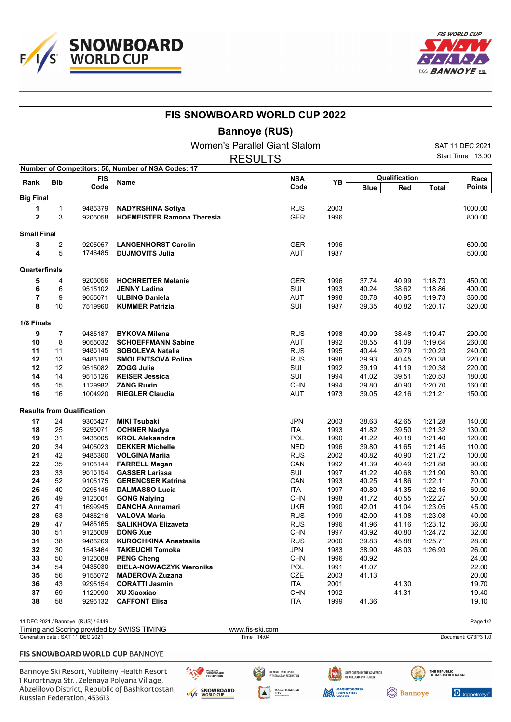



|                    |                      |                                    | <b>FIS SNOWBOARD WORLD CUP 2022</b>                |                          |              |                |                |                    |                          |
|--------------------|----------------------|------------------------------------|----------------------------------------------------|--------------------------|--------------|----------------|----------------|--------------------|--------------------------|
|                    | <b>Bannoye (RUS)</b> |                                    |                                                    |                          |              |                |                |                    |                          |
|                    |                      |                                    | <b>Women's Parallel Giant Slalom</b>               |                          |              |                |                |                    | SAT 11 DEC 2021          |
|                    |                      |                                    |                                                    | <b>RESULTS</b>           |              |                |                |                    | <b>Start Time: 13:00</b> |
|                    | <b>FIS</b>           |                                    | Number of Competitors: 56, Number of NSA Codes: 17 | <b>NSA</b>               |              | Qualification  |                |                    | Race                     |
| Rank               | <b>Bib</b>           | Code                               | Name                                               | Code                     | YB           | <b>Blue</b>    | Red            | <b>Total</b>       | <b>Points</b>            |
| <b>Big Final</b>   |                      |                                    |                                                    |                          |              |                |                |                    |                          |
| 1                  | 1                    | 9485379                            | <b>NADYRSHINA Sofiya</b>                           | <b>RUS</b>               | 2003         |                |                |                    | 1000.00                  |
| $\overline{2}$     | 3                    | 9205058                            | <b>HOFMEISTER Ramona Theresia</b>                  | <b>GER</b>               | 1996         |                |                |                    | 800.00                   |
| <b>Small Final</b> |                      |                                    |                                                    |                          |              |                |                |                    |                          |
| 3                  | 2                    | 9205057                            | <b>LANGENHORST Carolin</b>                         | <b>GER</b>               | 1996         |                |                |                    | 600.00                   |
| 4                  | 5                    | 1746485                            | <b>DUJMOVITS Julia</b>                             | AUT                      | 1987         |                |                |                    | 500.00                   |
| Quarterfinals      |                      |                                    |                                                    |                          |              |                |                |                    |                          |
| 5                  | 4                    | 9205056                            | <b>HOCHREITER Melanie</b>                          | <b>GER</b>               | 1996         | 37.74          | 40.99          | 1:18.73            | 450.00                   |
| 6                  | 6                    | 9515102                            | <b>JENNY Ladina</b>                                | SUI                      | 1993         | 40.24          | 38.62          | 1:18.86            | 400.00                   |
| 7                  | 9                    | 9055071                            | <b>ULBING Daniela</b>                              | <b>AUT</b>               | 1998         | 38.78          | 40.95          | 1:19.73            | 360.00                   |
| 8                  | 10                   | 7519960                            | <b>KUMMER Patrizia</b>                             | SUI                      | 1987         | 39.35          | 40.82          | 1:20.17            | 320.00                   |
| 1/8 Finals         |                      |                                    |                                                    |                          |              |                |                |                    |                          |
| 9                  | 7                    | 9485187                            | <b>BYKOVA Milena</b>                               | <b>RUS</b>               | 1998         | 40.99          | 38.48          | 1:19.47            | 290.00                   |
| 10                 | 8                    | 9055032                            | <b>SCHOEFFMANN Sabine</b>                          | <b>AUT</b>               | 1992         | 38.55          | 41.09          | 1.19.64            | 260.00                   |
| 11                 | 11                   | 9485145                            | <b>SOBOLEVA Natalia</b>                            | <b>RUS</b>               | 1995         | 40.44          | 39.79          | 1:20.23            | 240.00                   |
| 12                 | 13                   | 9485189                            | <b>SMOLENTSOVA Polina</b>                          | <b>RUS</b>               | 1998         | 39.93          | 40.45          | 1:20.38            | 220.00                   |
| 12                 | 12                   | 9515082                            | <b>ZOGG Julie</b>                                  | SUI                      | 1992         | 39.19          | 41.19          | 1:20.38            | 220.00                   |
| 14                 | 14                   | 9515126                            | <b>KEISER Jessica</b>                              | SUI                      | 1994         | 41.02          | 39.51          | 1:20.53            | 180.00                   |
| 15<br>16           | 15<br>16             | 1129982<br>1004920                 | <b>ZANG Ruxin</b><br><b>RIEGLER Claudia</b>        | <b>CHN</b><br><b>AUT</b> | 1994<br>1973 | 39.80<br>39.05 | 40.90<br>42.16 | 1:20.70<br>1:21.21 | 160.00<br>150.00         |
|                    |                      |                                    |                                                    |                          |              |                |                |                    |                          |
|                    |                      | <b>Results from Qualification</b>  |                                                    |                          |              |                |                |                    |                          |
| 17<br>18           | 24<br>25             | 9305427<br>9295071                 | <b>MIKI Tsubaki</b><br><b>OCHNER Nadya</b>         | <b>JPN</b><br><b>ITA</b> | 2003<br>1993 | 38.63<br>41.82 | 42.65<br>39.50 | 1:21.28<br>1.21.32 | 140.00<br>130.00         |
| 19                 | 31                   | 9435005                            | <b>KROL Aleksandra</b>                             | POL                      | 1990         | 41.22          | 40.18          | 1:21.40            | 120.00                   |
| 20                 | 34                   | 9405023                            | <b>DEKKER Michelle</b>                             | <b>NED</b>               | 1996         | 39.80          | 41.65          | 1:21.45            | 110.00                   |
| 21                 | 42                   | 9485360                            | <b>VOLGINA Mariia</b>                              | <b>RUS</b>               | 2002         | 40.82          | 40.90          | 1.21.72            | 100.00                   |
| 22                 | 35                   | 9105144                            | <b>FARRELL Megan</b>                               | CAN                      | 1992         | 41.39          | 40.49          | 1.21.88            | 90.00                    |
| 23                 | 33                   | 9515154                            | <b>GASSER Larissa</b>                              | SUI                      | 1997         | 41.22          | 40.68          | 1:21.90            | 80.00                    |
| 24                 | 52                   | 9105175                            | <b>GERENCSER Katrina</b>                           | CAN                      | 1993         | 40.25          | 41.86          | 1:22.11            | 70.00                    |
| 25                 | 40                   | 9295145                            | <b>DALMASSO Lucia</b>                              | ITA                      | 1997         | 40.80          | 41.35          | 1:22.15            | 60.00                    |
| 26                 | 49                   | 9125001                            | <b>GONG Naiying</b>                                | <b>CHN</b>               | 1998         | 41.72          | 40.55          | 1:22.27            | 50.00                    |
| 27                 | 41                   | 1699945                            | <b>DANCHA Annamari</b>                             | <b>UKR</b>               | 1990         | 42.01          | 41.04          | 1:23.05            | 45.00                    |
| 28                 | 53                   | 9485216                            | <b>VALOVA Maria</b>                                | <b>RUS</b>               | 1999         | 42.00          | 41.08          | 1:23.08            | 40.00                    |
| 29<br>30           | 47<br>51             | 9485165<br>9125009                 | <b>SALIKHOVA Elizaveta</b><br><b>DONG Xue</b>      | <b>RUS</b><br><b>CHN</b> | 1996<br>1997 | 41.96<br>43.92 | 41.16<br>40.80 | 1:23.12<br>1:24.72 | 36.00<br>32.00           |
| 31                 | 38                   | 9485269                            | <b>KUROCHKINA Anastasiia</b>                       | <b>RUS</b>               | 2000         | 39.83          | 45.88          | 1:25.71            | 28.00                    |
| 32                 | 30                   | 1543464                            | <b>TAKEUCHI Tomoka</b>                             | <b>JPN</b>               | 1983         | 38.90          | 48.03          | 1:26.93            | 26.00                    |
| 33                 | 50                   | 9125008                            | <b>PENG Cheng</b>                                  | <b>CHN</b>               | 1996         | 40.92          |                |                    | 24.00                    |
| 34                 | 54                   | 9435030                            | <b>BIELA-NOWACZYK Weronika</b>                     | POL                      | 1991         | 41.07          |                |                    | 22.00                    |
| 35                 | 56                   | 9155072                            | <b>MADEROVA Zuzana</b>                             | CZE                      | 2003         | 41.13          |                |                    | 20.00                    |
| 36                 | 43                   | 9295154                            | <b>CORATTI Jasmin</b>                              | ITA                      | 2001         |                | 41.30          |                    | 19.70                    |
| 37                 | 59                   | 1129990                            | XU Xiaoxiao                                        | <b>CHN</b>               | 1992         |                | 41.31          |                    | 19.40                    |
| 38                 | 58                   | 9295132                            | <b>CAFFONT Elisa</b>                               | ITA                      | 1999         | 41.36          |                |                    | 19.10                    |
|                    |                      | 11 DEC 2021 / Bannoye (RUS) / 6449 |                                                    |                          |              |                |                |                    | Page 1/2                 |

| Timing and Scoring provided by SWISS TIMING | www.fis-ski.com |                     |
|---------------------------------------------|-----------------|---------------------|
| Generation date: SAT 11 DEC 2021            | Time: 14:04     | Document: C73P3 1.0 |
|                                             |                 |                     |
| <b>FIS SNOWBOARD WORLD CUP BANNOYE</b>      |                 |                     |

 $\blacktriangle$ 

## Bannoye Ski Resort, Yubileiny Health Resort 1 Kurortnaya Str., Zelenaya Polyana Village, Abzelilovo District, Republic of Bashkortostan, Russian Federation, 453613

RUSSIAN<br>SNOWBOARD<br>FEDERATION E/ SNOWBOARD

THE MINISTRY OF SPORT<br>Of the russian federation **MAGNITOGORSK**<br>CITY<br>Administration SUPPORTED BY THE GOVERNOR<br>Of Chelyabinsk region

MAGNITOGORSK

THE REPUBLIC<br>OF BASHKORTOATAN **Bannoye** 

Doppelmayr